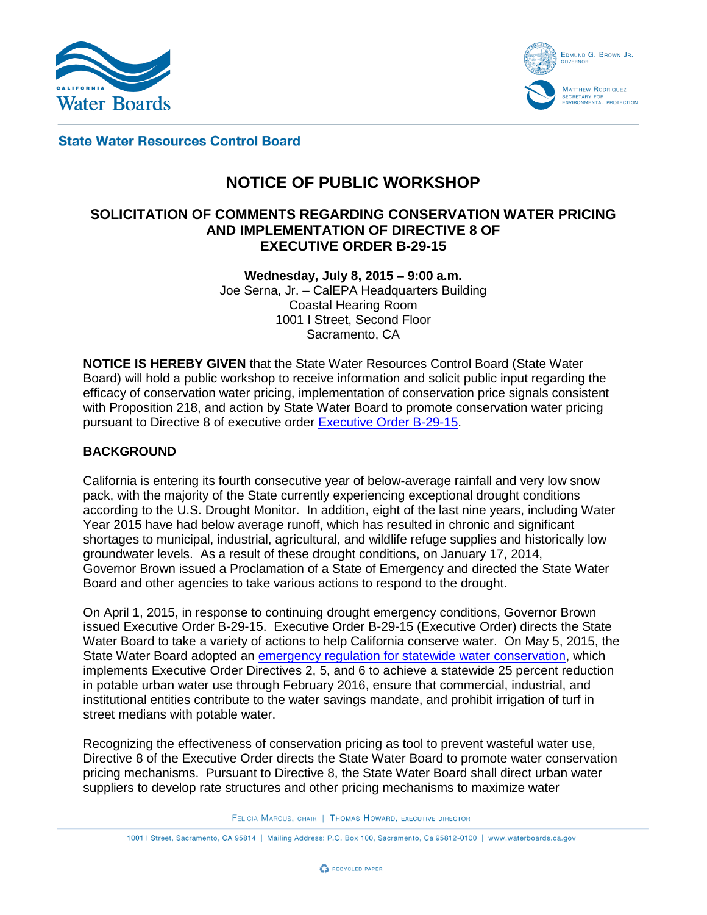



**State Water Resources Control Board** 

# **NOTICE OF PUBLIC WORKSHOP**

# **SOLICITATION OF COMMENTS REGARDING CONSERVATION WATER PRICING AND IMPLEMENTATION OF DIRECTIVE 8 OF EXECUTIVE ORDER B-29-15**

**Wednesday, July 8, 2015 – 9:00 a.m.** Joe Serna, Jr. – CalEPA Headquarters Building Coastal Hearing Room 1001 I Street, Second Floor Sacramento, CA

**NOTICE IS HEREBY GIVEN** that the State Water Resources Control Board (State Water Board) will hold a public workshop to receive information and solicit public input regarding the efficacy of conservation water pricing, implementation of conservation price signals consistent with Proposition 218, and action by State Water Board to promote conservation water pricing pursuant to Directive 8 of executive order [Executive Order B-29-15.](http://gov.ca.gov/docs/4.1.15_Executive_Order.pdf)

## **BACKGROUND**

California is entering its fourth consecutive year of below-average rainfall and very low snow pack, with the majority of the State currently experiencing exceptional drought conditions according to the U.S. Drought Monitor. In addition, eight of the last nine years, including Water Year 2015 have had below average runoff, which has resulted in chronic and significant shortages to municipal, industrial, agricultural, and wildlife refuge supplies and historically low groundwater levels. As a result of these drought conditions, on January 17, 2014, Governor Brown issued a Proclamation of a State of Emergency and directed the State Water Board and other agencies to take various actions to respond to the drought.

On April 1, 2015, in response to continuing drought emergency conditions, Governor Brown issued Executive Order B-29-15. Executive Order B-29-15 (Executive Order) directs the State Water Board to take a variety of actions to help California conserve water. On May 5, 2015, the State Water Board adopted an [emergency regulation for statewide water conservation,](http://www.waterboards.ca.gov/waterrights/water_issues/programs/drought/docs/emergency_regulations/rs2015_0032_with_adopted_regs.pdf) which implements Executive Order Directives 2, 5, and 6 to achieve a statewide 25 percent reduction in potable urban water use through February 2016, ensure that commercial, industrial, and institutional entities contribute to the water savings mandate, and prohibit irrigation of turf in street medians with potable water.

Recognizing the effectiveness of conservation pricing as tool to prevent wasteful water use, Directive 8 of the Executive Order directs the State Water Board to promote water conservation pricing mechanisms. Pursuant to Directive 8, the State Water Board shall direct urban water suppliers to develop rate structures and other pricing mechanisms to maximize water

FELICIA MARCUS, CHAIR | THOMAS HOWARD, EXECUTIVE DIRECTOR

1001 | Street, Sacramento, CA 95814 | Mailing Address: P.O. Box 100, Sacramento, Ca 95812-0100 | www.waterboards.ca.gov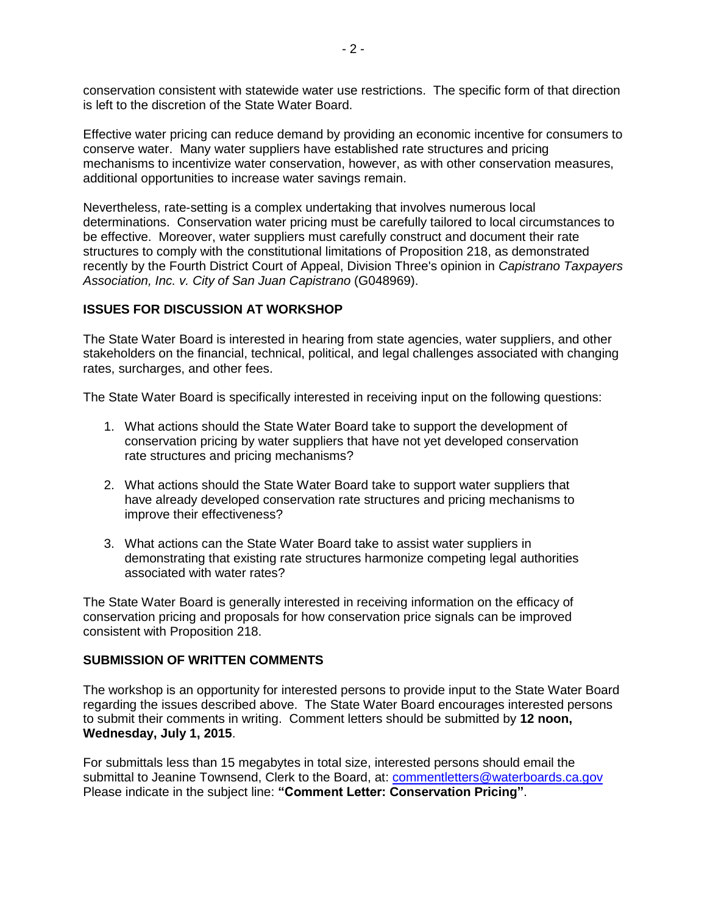conservation consistent with statewide water use restrictions. The specific form of that direction is left to the discretion of the State Water Board.

Effective water pricing can reduce demand by providing an economic incentive for consumers to conserve water. Many water suppliers have established rate structures and pricing mechanisms to incentivize water conservation, however, as with other conservation measures, additional opportunities to increase water savings remain.

Nevertheless, rate-setting is a complex undertaking that involves numerous local determinations. Conservation water pricing must be carefully tailored to local circumstances to be effective. Moreover, water suppliers must carefully construct and document their rate structures to comply with the constitutional limitations of Proposition 218, as demonstrated recently by the Fourth District Court of Appeal, Division Three's opinion in *Capistrano Taxpayers Association, Inc. v. City of San Juan Capistrano* (G048969).

## **ISSUES FOR DISCUSSION AT WORKSHOP**

The State Water Board is interested in hearing from state agencies, water suppliers, and other stakeholders on the financial, technical, political, and legal challenges associated with changing rates, surcharges, and other fees.

The State Water Board is specifically interested in receiving input on the following questions:

- 1. What actions should the State Water Board take to support the development of conservation pricing by water suppliers that have not yet developed conservation rate structures and pricing mechanisms?
- 2. What actions should the State Water Board take to support water suppliers that have already developed conservation rate structures and pricing mechanisms to improve their effectiveness?
- 3. What actions can the State Water Board take to assist water suppliers in demonstrating that existing rate structures harmonize competing legal authorities associated with water rates?

The State Water Board is generally interested in receiving information on the efficacy of conservation pricing and proposals for how conservation price signals can be improved consistent with Proposition 218.

#### **SUBMISSION OF WRITTEN COMMENTS**

The workshop is an opportunity for interested persons to provide input to the State Water Board regarding the issues described above. The State Water Board encourages interested persons to submit their comments in writing. Comment letters should be submitted by **12 noon, Wednesday, July 1, 2015**.

For submittals less than 15 megabytes in total size, interested persons should email the submittal to Jeanine Townsend, Clerk to the Board, at: [commentletters@waterboards.ca.gov](mailto:commentletters@waterboards.ca.gov) Please indicate in the subject line: **"Comment Letter: Conservation Pricing"**.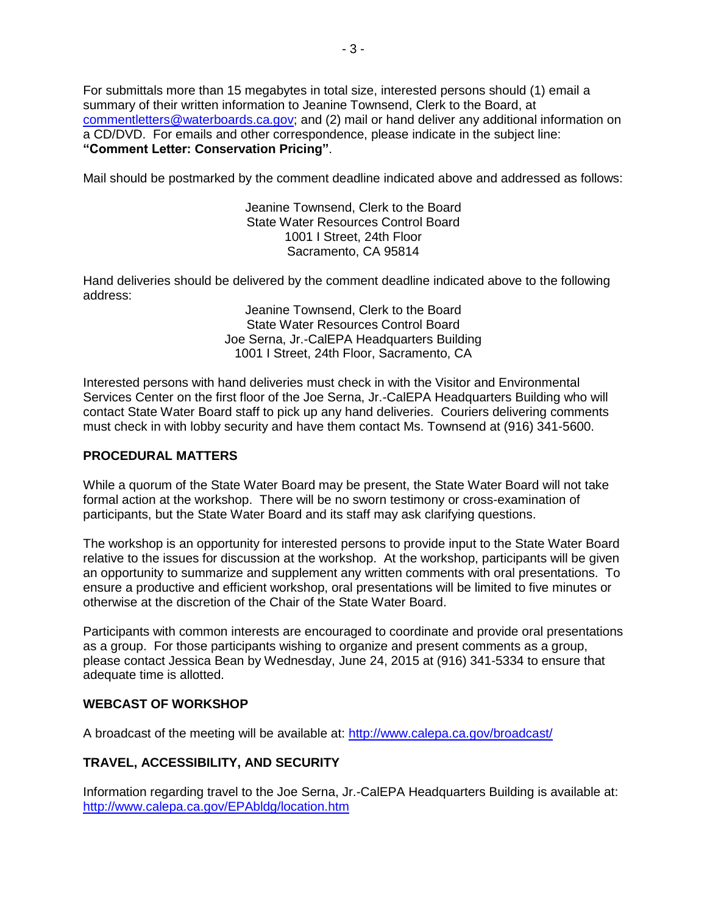For submittals more than 15 megabytes in total size, interested persons should (1) email a summary of their written information to Jeanine Townsend, Clerk to the Board, at [commentletters@waterboards.ca.gov;](mailto:commentletters@waterboards.ca.gov) and (2) mail or hand deliver any additional information on a CD/DVD. For emails and other correspondence, please indicate in the subject line: **"Comment Letter: Conservation Pricing"**.

Mail should be postmarked by the comment deadline indicated above and addressed as follows:

Jeanine Townsend, Clerk to the Board State Water Resources Control Board 1001 I Street, 24th Floor Sacramento, CA 95814

Hand deliveries should be delivered by the comment deadline indicated above to the following address:

> Jeanine Townsend, Clerk to the Board State Water Resources Control Board Joe Serna, Jr.-CalEPA Headquarters Building 1001 I Street, 24th Floor, Sacramento, CA

Interested persons with hand deliveries must check in with the Visitor and Environmental Services Center on the first floor of the Joe Serna, Jr.-CalEPA Headquarters Building who will contact State Water Board staff to pick up any hand deliveries. Couriers delivering comments must check in with lobby security and have them contact Ms. Townsend at (916) 341-5600.

### **PROCEDURAL MATTERS**

While a quorum of the State Water Board may be present, the State Water Board will not take formal action at the workshop. There will be no sworn testimony or cross-examination of participants, but the State Water Board and its staff may ask clarifying questions.

The workshop is an opportunity for interested persons to provide input to the State Water Board relative to the issues for discussion at the workshop. At the workshop, participants will be given an opportunity to summarize and supplement any written comments with oral presentations. To ensure a productive and efficient workshop, oral presentations will be limited to five minutes or otherwise at the discretion of the Chair of the State Water Board.

Participants with common interests are encouraged to coordinate and provide oral presentations as a group. For those participants wishing to organize and present comments as a group, please contact Jessica Bean by Wednesday, June 24, 2015 at (916) 341-5334 to ensure that adequate time is allotted.

#### **WEBCAST OF WORKSHOP**

A broadcast of the meeting will be available at: <http://www.calepa.ca.gov/broadcast/>

## **TRAVEL, ACCESSIBILITY, AND SECURITY**

Information regarding travel to the Joe Serna, Jr.-CalEPA Headquarters Building is available at: <http://www.calepa.ca.gov/EPAbldg/location.htm>